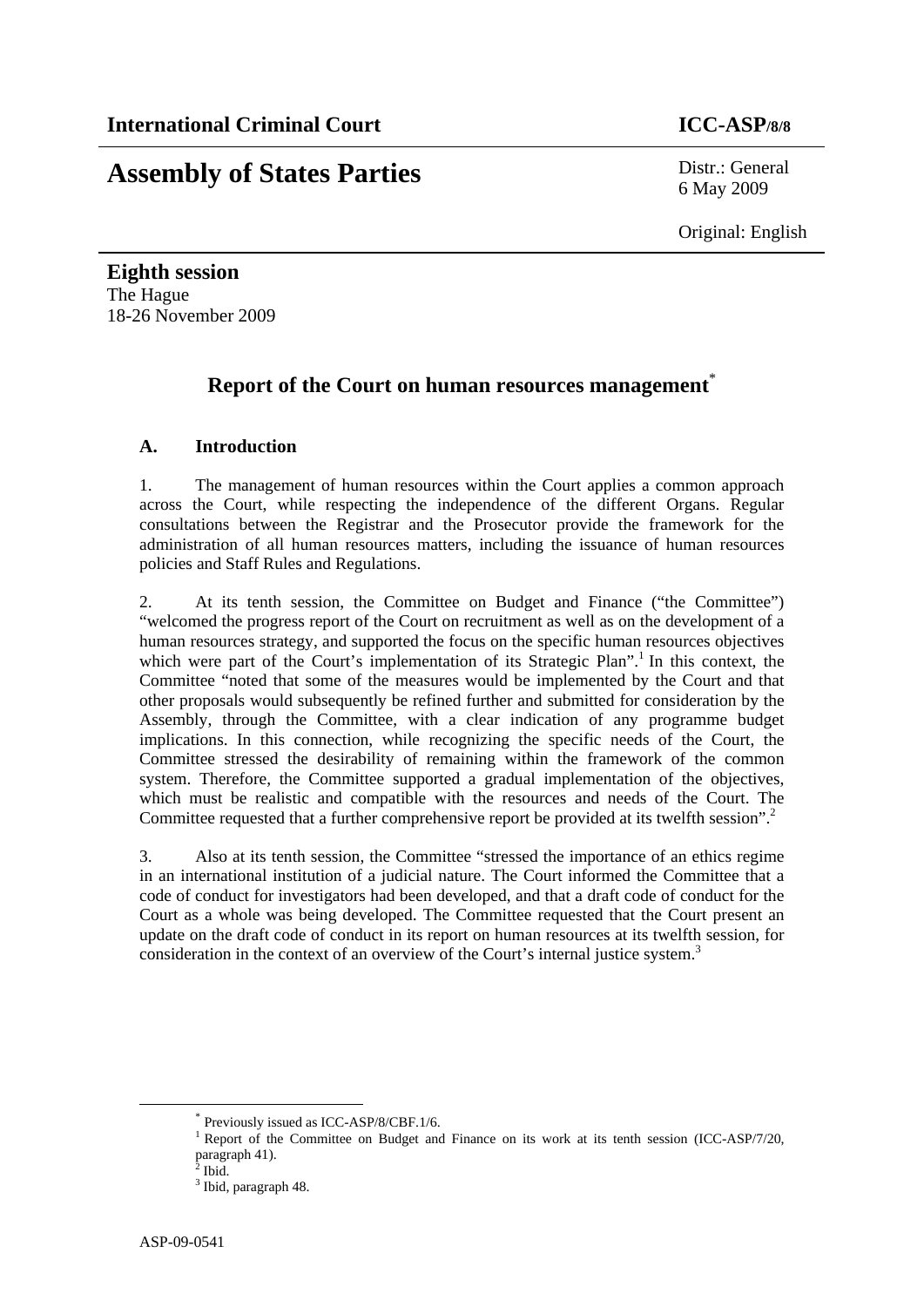# **Assembly of States Parties** Distr.: General

6 May 2009

Original: English

**Eighth session**  The Hague 18-26 November 2009

# **Report of the Court on human resources management**\*

# **A. Introduction**

1. The management of human resources within the Court applies a common approach across the Court, while respecting the independence of the different Organs. Regular consultations between the Registrar and the Prosecutor provide the framework for the administration of all human resources matters, including the issuance of human resources policies and Staff Rules and Regulations.

2. At its tenth session, the Committee on Budget and Finance ("the Committee") "welcomed the progress report of the Court on recruitment as well as on the development of a human resources strategy, and supported the focus on the specific human resources objectives which were part of the Court's implementation of its Strategic Plan".<sup>1</sup> In this context, the Committee "noted that some of the measures would be implemented by the Court and that other proposals would subsequently be refined further and submitted for consideration by the Assembly, through the Committee, with a clear indication of any programme budget implications. In this connection, while recognizing the specific needs of the Court, the Committee stressed the desirability of remaining within the framework of the common system. Therefore, the Committee supported a gradual implementation of the objectives, which must be realistic and compatible with the resources and needs of the Court. The Committee requested that a further comprehensive report be provided at its twelfth session".<sup>2</sup>

3. Also at its tenth session, the Committee "stressed the importance of an ethics regime in an international institution of a judicial nature. The Court informed the Committee that a code of conduct for investigators had been developed, and that a draft code of conduct for the Court as a whole was being developed. The Committee requested that the Court present an update on the draft code of conduct in its report on human resources at its twelfth session, for consideration in the context of an overview of the Court's internal justice system.<sup>3</sup>

 <sup>\*</sup> Previously issued as ICC-ASP/8/CBF.1/6.

<sup>&</sup>lt;sup>1</sup> Report of the Committee on Budget and Finance on its work at its tenth session (ICC-ASP/7/20, paragraph 41).

 $2$  Ibid.

<sup>&</sup>lt;sup>3</sup> Ibid, paragraph 48.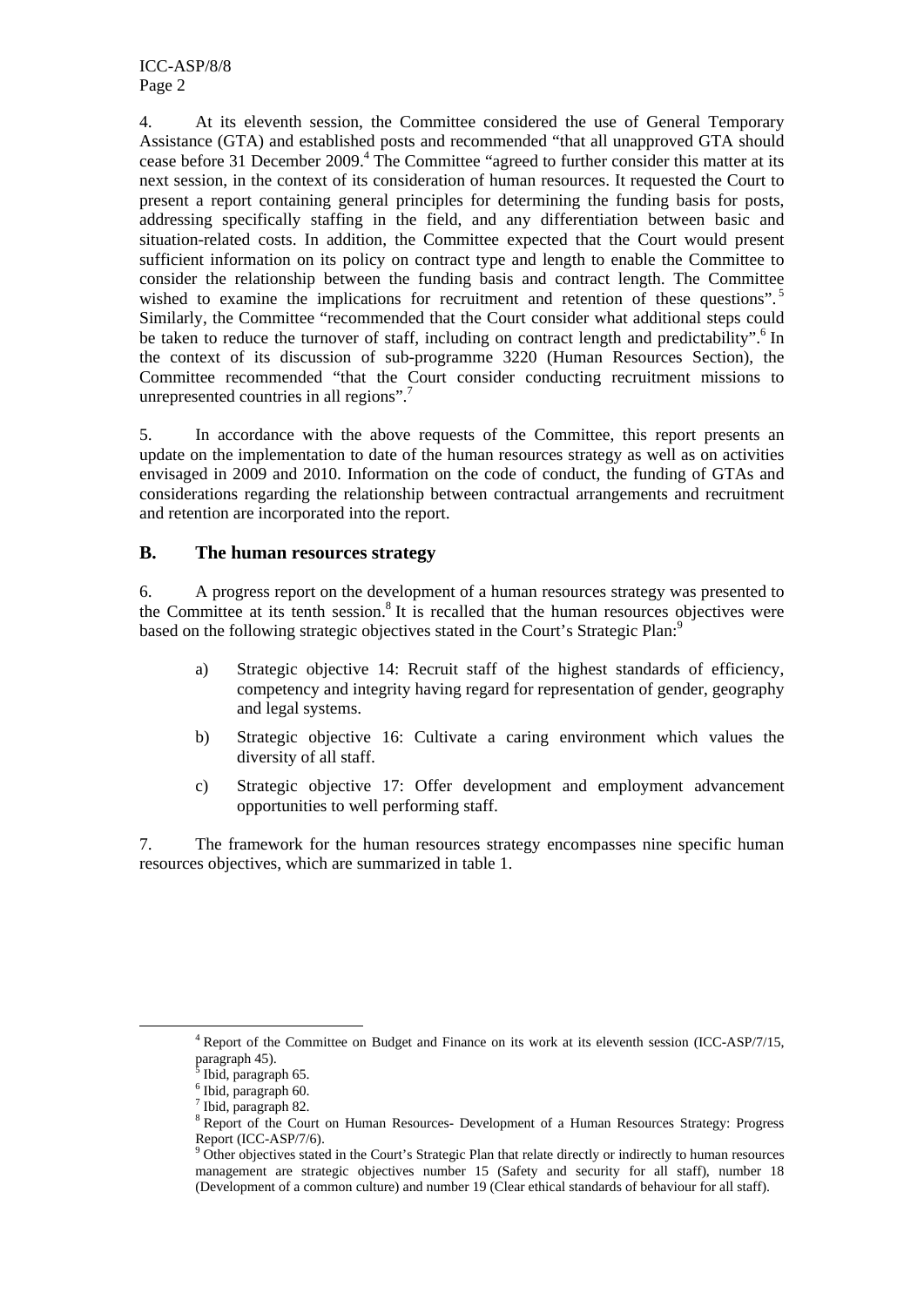4. At its eleventh session, the Committee considered the use of General Temporary Assistance (GTA) and established posts and recommended "that all unapproved GTA should cease before 31 December 2009.<sup>4</sup> The Committee "agreed to further consider this matter at its next session, in the context of its consideration of human resources. It requested the Court to present a report containing general principles for determining the funding basis for posts, addressing specifically staffing in the field, and any differentiation between basic and situation-related costs. In addition, the Committee expected that the Court would present sufficient information on its policy on contract type and length to enable the Committee to consider the relationship between the funding basis and contract length. The Committee wished to examine the implications for recruitment and retention of these questions".<sup>5</sup> Similarly, the Committee "recommended that the Court consider what additional steps could be taken to reduce the turnover of staff, including on contract length and predictability".<sup>6</sup> In the context of its discussion of sub-programme 3220 (Human Resources Section), the Committee recommended "that the Court consider conducting recruitment missions to unrepresented countries in all regions".

5. In accordance with the above requests of the Committee, this report presents an update on the implementation to date of the human resources strategy as well as on activities envisaged in 2009 and 2010. Information on the code of conduct, the funding of GTAs and considerations regarding the relationship between contractual arrangements and recruitment and retention are incorporated into the report.

#### **B. The human resources strategy**

6. A progress report on the development of a human resources strategy was presented to the Committee at its tenth session.<sup>8</sup> It is recalled that the human resources objectives were based on the following strategic objectives stated in the Court's Strategic Plan:<sup>9</sup>

- a) Strategic objective 14: Recruit staff of the highest standards of efficiency, competency and integrity having regard for representation of gender, geography and legal systems.
- b) Strategic objective 16: Cultivate a caring environment which values the diversity of all staff.
- c) Strategic objective 17: Offer development and employment advancement opportunities to well performing staff.

7. The framework for the human resources strategy encompasses nine specific human resources objectives, which are summarized in table 1.

 $\frac{1}{4}$ <sup>4</sup> Report of the Committee on Budget and Finance on its work at its eleventh session (ICC-ASP/7/15, paragraph 45).<br><sup>5</sup> Ibid. paragrap

Ibid, paragraph 65.

<sup>6</sup> Ibid, paragraph 60.

<sup>7</sup> Ibid, paragraph 82.

<sup>&</sup>lt;sup>8</sup> Report of the Court on Human Resources- Development of a Human Resources Strategy: Progress

Report (ICC-ASP/7/6). 9 Other objectives stated in the Court's Strategic Plan that relate directly or indirectly to human resources management are strategic objectives number 15 (Safety and security for all staff), number 18 (Development of a common culture) and number 19 (Clear ethical standards of behaviour for all staff).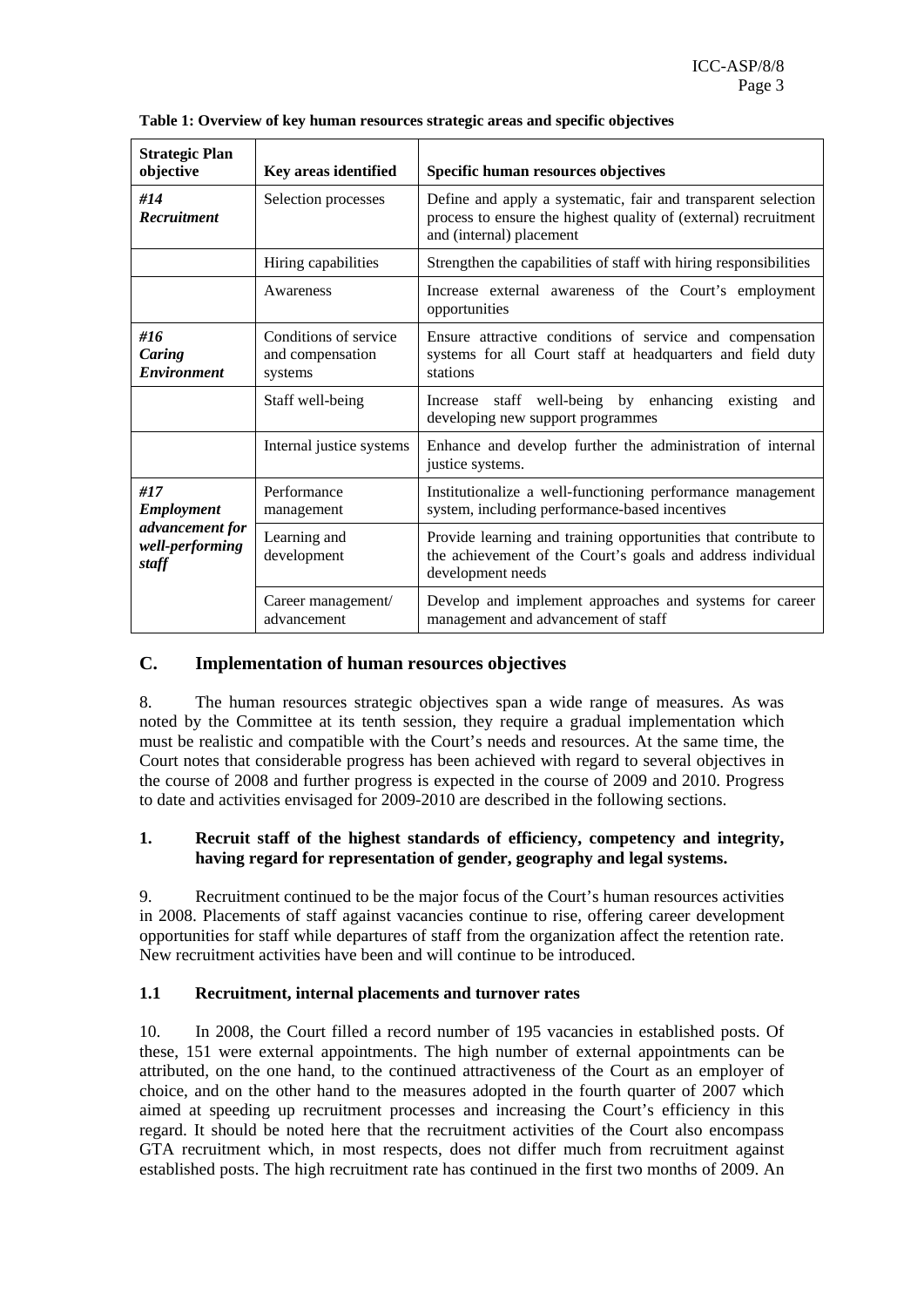| <b>Strategic Plan</b><br>objective          | Key areas identified                                 | <b>Specific human resources objectives</b>                                                                                                                   |  |  |
|---------------------------------------------|------------------------------------------------------|--------------------------------------------------------------------------------------------------------------------------------------------------------------|--|--|
| #14<br><b>Recruitment</b>                   | Selection processes                                  | Define and apply a systematic, fair and transparent selection<br>process to ensure the highest quality of (external) recruitment<br>and (internal) placement |  |  |
|                                             | Hiring capabilities                                  | Strengthen the capabilities of staff with hiring responsibilities                                                                                            |  |  |
|                                             | Awareness                                            | Increase external awareness of the Court's employment<br>opportunities                                                                                       |  |  |
| #16<br>Caring<br><b>Environment</b>         | Conditions of service<br>and compensation<br>systems | Ensure attractive conditions of service and compensation<br>systems for all Court staff at headquarters and field duty<br>stations                           |  |  |
|                                             | Staff well-being                                     | Increase staff well-being by enhancing<br>existing<br>and<br>developing new support programmes                                                               |  |  |
|                                             | Internal justice systems                             | Enhance and develop further the administration of internal<br>justice systems.                                                                               |  |  |
| #17<br><b>Employment</b>                    | Performance<br>management                            | Institutionalize a well-functioning performance management<br>system, including performance-based incentives                                                 |  |  |
| advancement for<br>well-performing<br>staff | Learning and<br>development                          | Provide learning and training opportunities that contribute to<br>the achievement of the Court's goals and address individual<br>development needs           |  |  |
|                                             | Career management/<br>advancement                    | Develop and implement approaches and systems for career<br>management and advancement of staff                                                               |  |  |

**Table 1: Overview of key human resources strategic areas and specific objectives** 

# **C. Implementation of human resources objectives**

8. The human resources strategic objectives span a wide range of measures. As was noted by the Committee at its tenth session, they require a gradual implementation which must be realistic and compatible with the Court's needs and resources. At the same time, the Court notes that considerable progress has been achieved with regard to several objectives in the course of 2008 and further progress is expected in the course of 2009 and 2010. Progress to date and activities envisaged for 2009-2010 are described in the following sections.

#### **1. Recruit staff of the highest standards of efficiency, competency and integrity, having regard for representation of gender, geography and legal systems.**

9. Recruitment continued to be the major focus of the Court's human resources activities in 2008. Placements of staff against vacancies continue to rise, offering career development opportunities for staff while departures of staff from the organization affect the retention rate. New recruitment activities have been and will continue to be introduced.

#### **1.1 Recruitment, internal placements and turnover rates**

10. In 2008, the Court filled a record number of 195 vacancies in established posts. Of these, 151 were external appointments. The high number of external appointments can be attributed, on the one hand, to the continued attractiveness of the Court as an employer of choice, and on the other hand to the measures adopted in the fourth quarter of 2007 which aimed at speeding up recruitment processes and increasing the Court's efficiency in this regard. It should be noted here that the recruitment activities of the Court also encompass GTA recruitment which, in most respects, does not differ much from recruitment against established posts. The high recruitment rate has continued in the first two months of 2009. An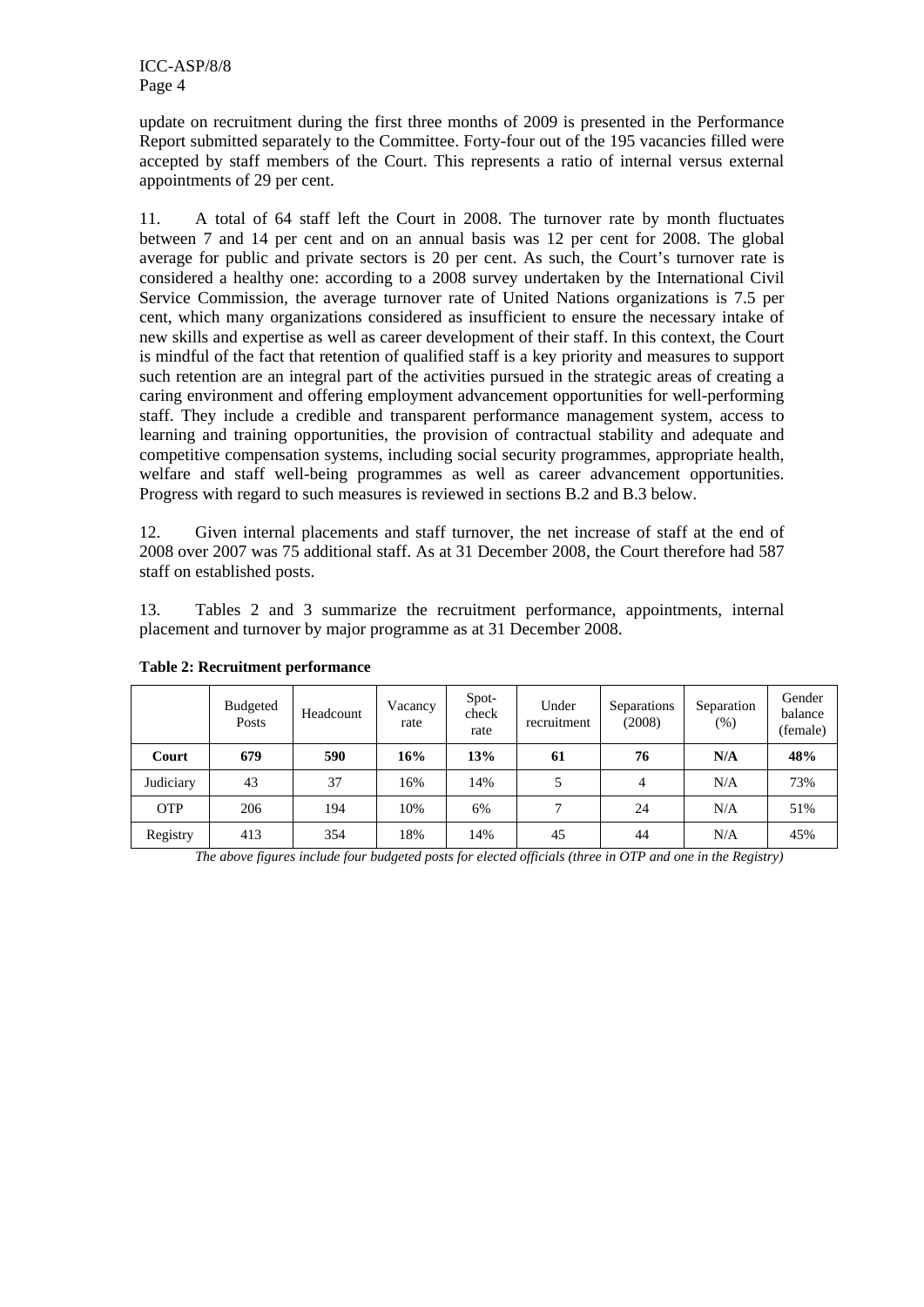update on recruitment during the first three months of 2009 is presented in the Performance Report submitted separately to the Committee. Forty-four out of the 195 vacancies filled were accepted by staff members of the Court. This represents a ratio of internal versus external appointments of 29 per cent.

11. A total of 64 staff left the Court in 2008. The turnover rate by month fluctuates between 7 and 14 per cent and on an annual basis was 12 per cent for 2008. The global average for public and private sectors is 20 per cent. As such, the Court's turnover rate is considered a healthy one: according to a 2008 survey undertaken by the International Civil Service Commission, the average turnover rate of United Nations organizations is 7.5 per cent, which many organizations considered as insufficient to ensure the necessary intake of new skills and expertise as well as career development of their staff. In this context, the Court is mindful of the fact that retention of qualified staff is a key priority and measures to support such retention are an integral part of the activities pursued in the strategic areas of creating a caring environment and offering employment advancement opportunities for well-performing staff. They include a credible and transparent performance management system, access to learning and training opportunities, the provision of contractual stability and adequate and competitive compensation systems, including social security programmes, appropriate health, welfare and staff well-being programmes as well as career advancement opportunities. Progress with regard to such measures is reviewed in sections B.2 and B.3 below.

12. Given internal placements and staff turnover, the net increase of staff at the end of 2008 over 2007 was 75 additional staff. As at 31 December 2008, the Court therefore had 587 staff on established posts.

13. Tables 2 and 3 summarize the recruitment performance, appointments, internal placement and turnover by major programme as at 31 December 2008.

|            | <b>Budgeted</b><br>Posts | Headcount | Vacancy<br>rate | Spot-<br>check<br>rate | Under<br>recruitment | Separations<br>(2008) | Separation<br>(% ) | Gender<br>balance<br>(female) |
|------------|--------------------------|-----------|-----------------|------------------------|----------------------|-----------------------|--------------------|-------------------------------|
| Court      | 679                      | 590       | 16%             | 13%                    | 61                   | 76                    | N/A                | 48%                           |
| Judiciary  | 43                       | 37        | 16%             | 14%                    |                      | 4                     | N/A                | 73%                           |
| <b>OTP</b> | 206                      | 194       | 10%             | 6%                     |                      | 24                    | N/A                | 51%                           |
| Registry   | 413                      | 354       | 18%             | 14%                    | 45                   | 44                    | N/A                | 45%                           |

#### **Table 2: Recruitment performance**

*The above figures include four budgeted posts for elected officials (three in OTP and one in the Registry)*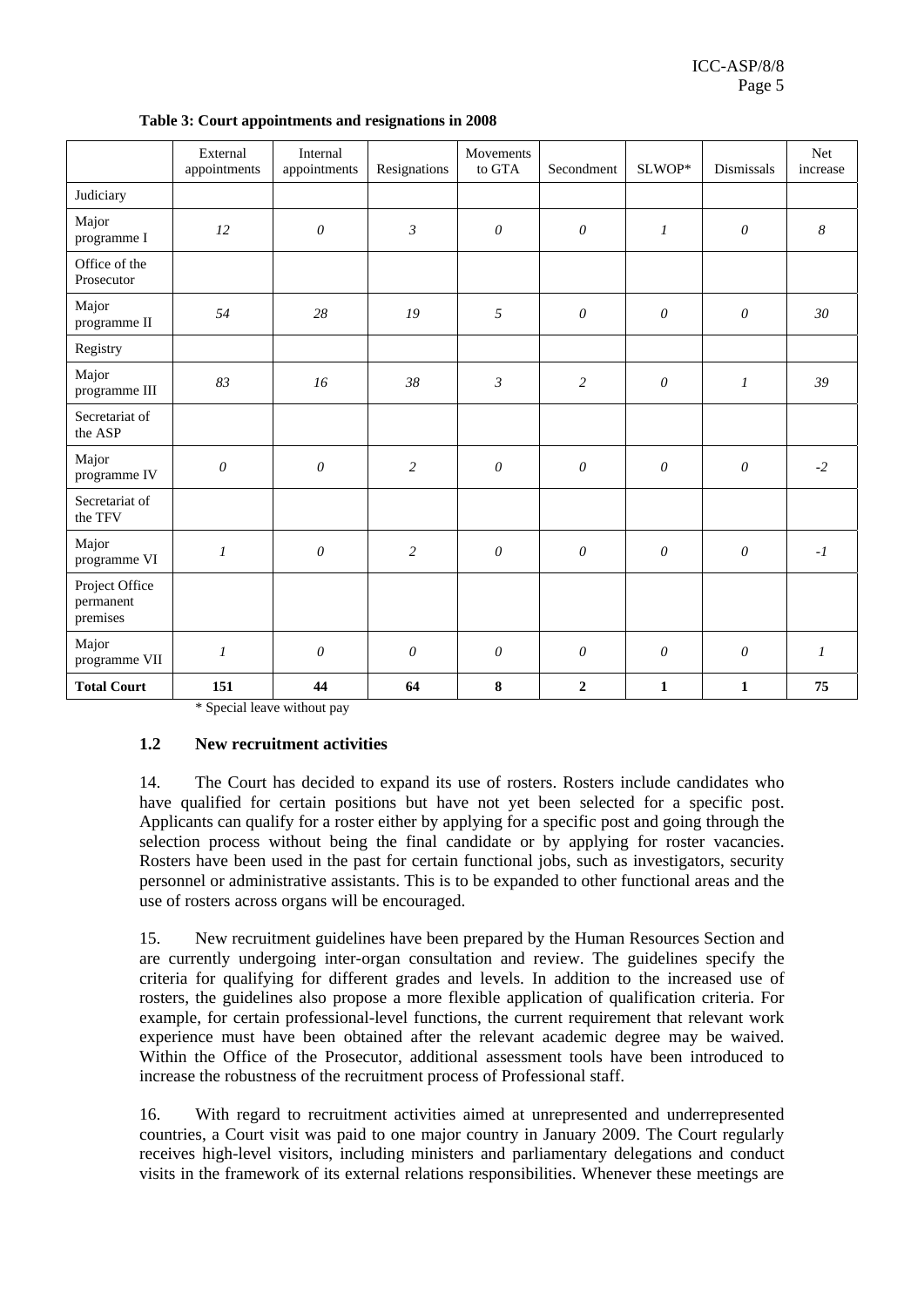|                                         | External<br>appointments | Internal<br>appointments | Resignations   | Movements<br>to GTA   | Secondment            | SLWOP*                | Dismissals            | Net<br>increase  |
|-----------------------------------------|--------------------------|--------------------------|----------------|-----------------------|-----------------------|-----------------------|-----------------------|------------------|
| Judiciary                               |                          |                          |                |                       |                       |                       |                       |                  |
| Major<br>programme I                    | 12                       | $\boldsymbol{\theta}$    | $\mathfrak{Z}$ | $\theta$              | $\boldsymbol{\theta}$ | $\mathfrak{I}$        | $\boldsymbol{\theta}$ | $\boldsymbol{8}$ |
| Office of the<br>Prosecutor             |                          |                          |                |                       |                       |                       |                       |                  |
| Major<br>programme II                   | 54                       | 28                       | 19             | 5                     | $\boldsymbol{\theta}$ | $\theta$              | $\theta$              | 30               |
| Registry                                |                          |                          |                |                       |                       |                       |                       |                  |
| Major<br>programme III                  | 83                       | 16                       | 38             | $\mathfrak{Z}$        | 2                     | $\theta$              | $\mathfrak{1}$        | 39               |
| Secretariat of<br>the ASP               |                          |                          |                |                       |                       |                       |                       |                  |
| Major<br>programme IV                   | $\mathcal O$             | $\boldsymbol{\theta}$    | $\overline{c}$ | $\boldsymbol{\theta}$ | $\boldsymbol{\theta}$ | $\boldsymbol{\theta}$ | $\theta$              | $-2$             |
| Secretariat of<br>the TFV               |                          |                          |                |                       |                       |                       |                       |                  |
| Major<br>programme VI                   | $\mathfrak{I}$           | $\theta$                 | 2              | $\theta$              | $\theta$              | $\theta$              | $\theta$              | $-I$             |
| Project Office<br>permanent<br>premises |                          |                          |                |                       |                       |                       |                       |                  |
| Major<br>programme VII                  | $\mathfrak{I}$           | $\theta$                 | $\theta$       | $\theta$              | $\theta$              | $\theta$              | $\theta$              | $\mathcal{I}$    |
| <b>Total Court</b>                      | 151                      | 44                       | 64             | $\bf 8$               | $\overline{2}$        | $\mathbf{1}$          | 1                     | 75               |

**Table 3: Court appointments and resignations in 2008** 

\* Special leave without pay

#### **1.2 New recruitment activities**

14. The Court has decided to expand its use of rosters. Rosters include candidates who have qualified for certain positions but have not yet been selected for a specific post. Applicants can qualify for a roster either by applying for a specific post and going through the selection process without being the final candidate or by applying for roster vacancies. Rosters have been used in the past for certain functional jobs, such as investigators, security personnel or administrative assistants. This is to be expanded to other functional areas and the use of rosters across organs will be encouraged.

15. New recruitment guidelines have been prepared by the Human Resources Section and are currently undergoing inter-organ consultation and review. The guidelines specify the criteria for qualifying for different grades and levels. In addition to the increased use of rosters, the guidelines also propose a more flexible application of qualification criteria. For example, for certain professional-level functions, the current requirement that relevant work experience must have been obtained after the relevant academic degree may be waived. Within the Office of the Prosecutor, additional assessment tools have been introduced to increase the robustness of the recruitment process of Professional staff.

16. With regard to recruitment activities aimed at unrepresented and underrepresented countries, a Court visit was paid to one major country in January 2009. The Court regularly receives high-level visitors, including ministers and parliamentary delegations and conduct visits in the framework of its external relations responsibilities. Whenever these meetings are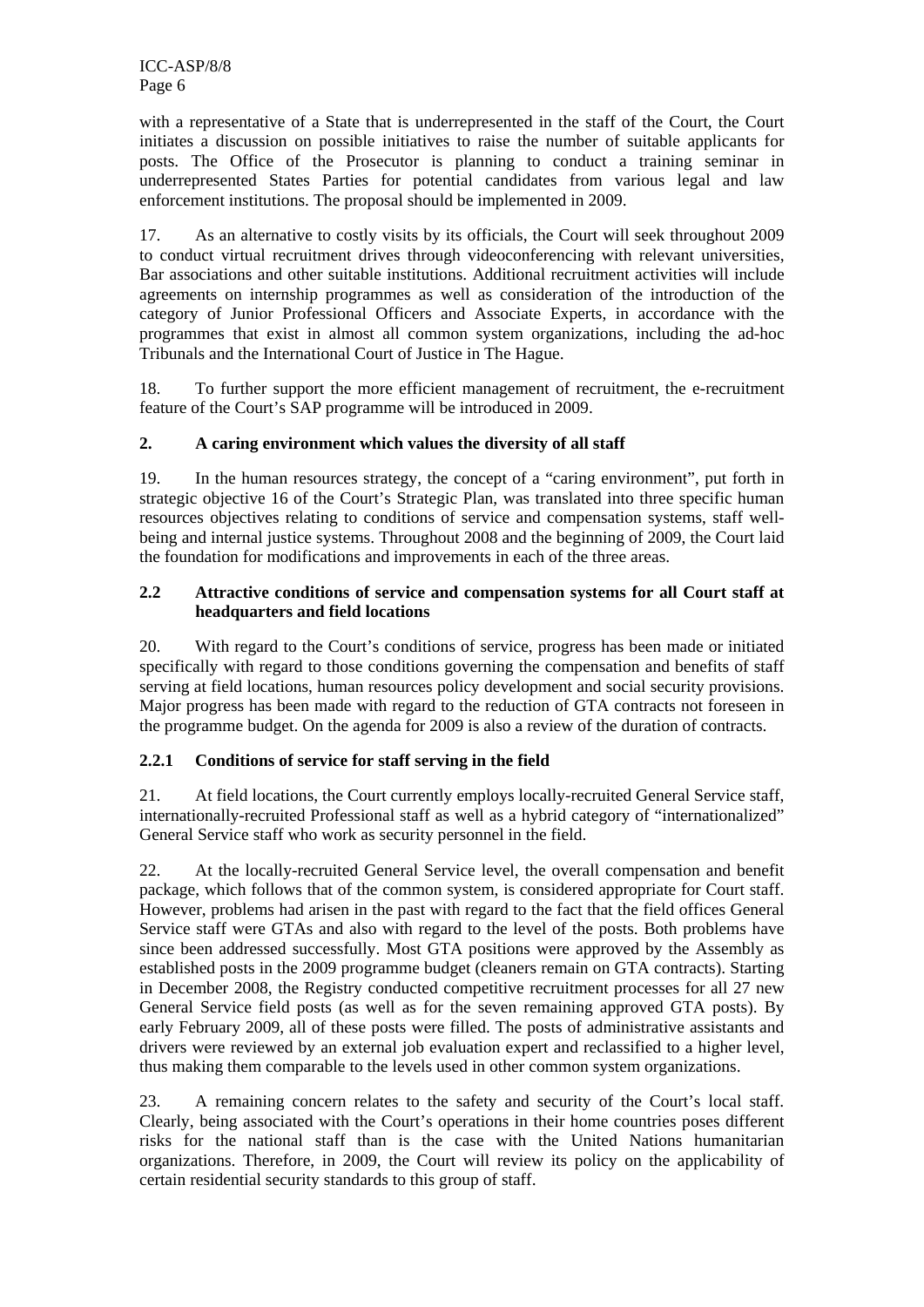with a representative of a State that is underrepresented in the staff of the Court, the Court initiates a discussion on possible initiatives to raise the number of suitable applicants for posts. The Office of the Prosecutor is planning to conduct a training seminar in underrepresented States Parties for potential candidates from various legal and law enforcement institutions. The proposal should be implemented in 2009.

17. As an alternative to costly visits by its officials, the Court will seek throughout 2009 to conduct virtual recruitment drives through videoconferencing with relevant universities, Bar associations and other suitable institutions. Additional recruitment activities will include agreements on internship programmes as well as consideration of the introduction of the category of Junior Professional Officers and Associate Experts, in accordance with the programmes that exist in almost all common system organizations, including the ad-hoc Tribunals and the International Court of Justice in The Hague.

18. To further support the more efficient management of recruitment, the e-recruitment feature of the Court's SAP programme will be introduced in 2009.

# **2. A caring environment which values the diversity of all staff**

19. In the human resources strategy, the concept of a "caring environment", put forth in strategic objective 16 of the Court's Strategic Plan, was translated into three specific human resources objectives relating to conditions of service and compensation systems, staff wellbeing and internal justice systems. Throughout 2008 and the beginning of 2009, the Court laid the foundation for modifications and improvements in each of the three areas.

# **2.2 Attractive conditions of service and compensation systems for all Court staff at headquarters and field locations**

20. With regard to the Court's conditions of service, progress has been made or initiated specifically with regard to those conditions governing the compensation and benefits of staff serving at field locations, human resources policy development and social security provisions. Major progress has been made with regard to the reduction of GTA contracts not foreseen in the programme budget. On the agenda for 2009 is also a review of the duration of contracts.

# **2.2.1 Conditions of service for staff serving in the field**

21. At field locations, the Court currently employs locally-recruited General Service staff, internationally-recruited Professional staff as well as a hybrid category of "internationalized" General Service staff who work as security personnel in the field.

22. At the locally-recruited General Service level, the overall compensation and benefit package, which follows that of the common system, is considered appropriate for Court staff. However, problems had arisen in the past with regard to the fact that the field offices General Service staff were GTAs and also with regard to the level of the posts. Both problems have since been addressed successfully. Most GTA positions were approved by the Assembly as established posts in the 2009 programme budget (cleaners remain on GTA contracts). Starting in December 2008, the Registry conducted competitive recruitment processes for all 27 new General Service field posts (as well as for the seven remaining approved GTA posts). By early February 2009, all of these posts were filled. The posts of administrative assistants and drivers were reviewed by an external job evaluation expert and reclassified to a higher level, thus making them comparable to the levels used in other common system organizations.

23. A remaining concern relates to the safety and security of the Court's local staff. Clearly, being associated with the Court's operations in their home countries poses different risks for the national staff than is the case with the United Nations humanitarian organizations. Therefore, in 2009, the Court will review its policy on the applicability of certain residential security standards to this group of staff.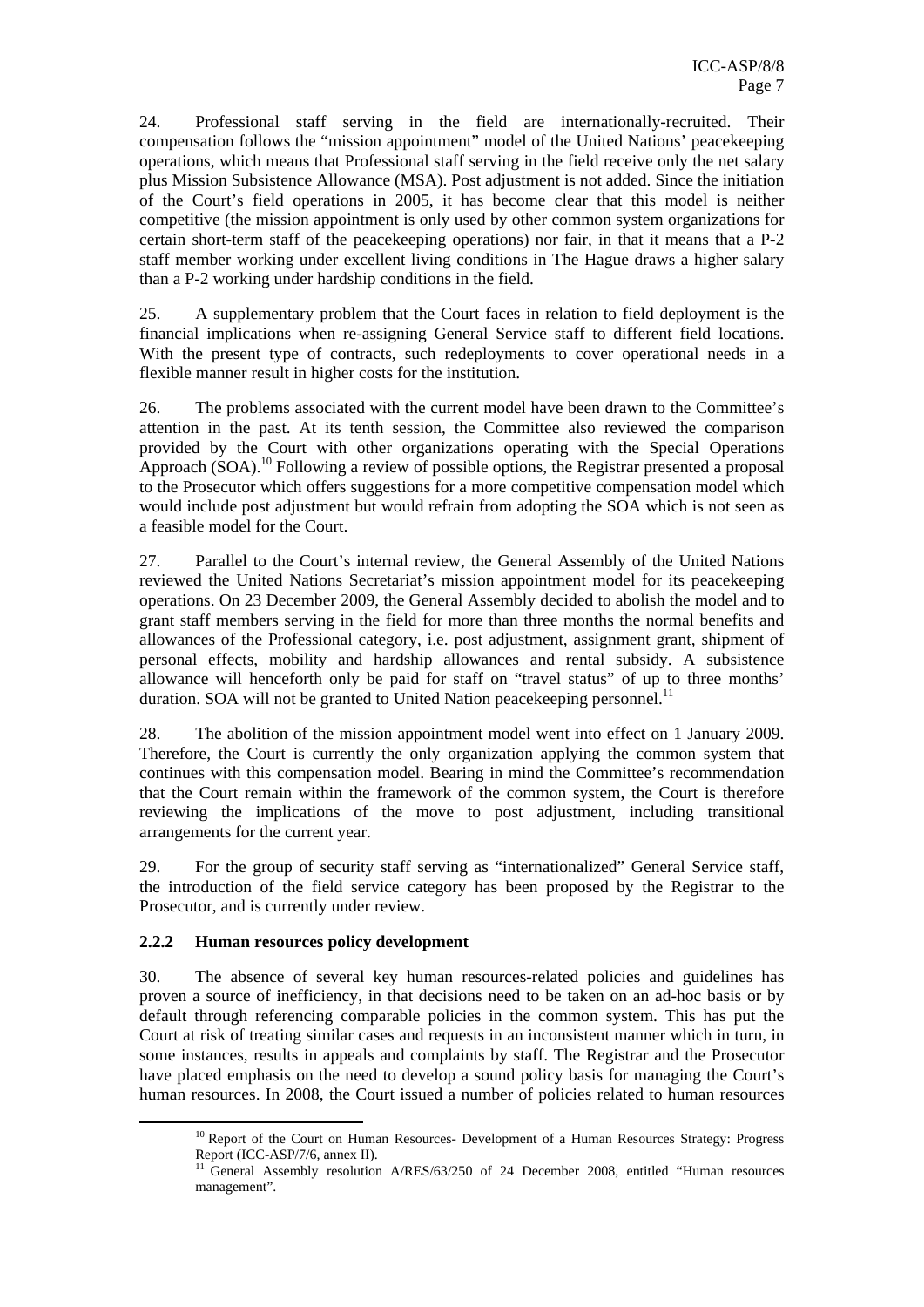24. Professional staff serving in the field are internationally-recruited. Their compensation follows the "mission appointment" model of the United Nations' peacekeeping operations, which means that Professional staff serving in the field receive only the net salary plus Mission Subsistence Allowance (MSA). Post adjustment is not added. Since the initiation of the Court's field operations in 2005, it has become clear that this model is neither competitive (the mission appointment is only used by other common system organizations for certain short-term staff of the peacekeeping operations) nor fair, in that it means that a P-2 staff member working under excellent living conditions in The Hague draws a higher salary than a P-2 working under hardship conditions in the field.

25. A supplementary problem that the Court faces in relation to field deployment is the financial implications when re-assigning General Service staff to different field locations. With the present type of contracts, such redeployments to cover operational needs in a flexible manner result in higher costs for the institution.

26. The problems associated with the current model have been drawn to the Committee's attention in the past. At its tenth session, the Committee also reviewed the comparison provided by the Court with other organizations operating with the Special Operations Approach  $(SOA)$ <sup>10</sup> Following a review of possible options, the Registrar presented a proposal to the Prosecutor which offers suggestions for a more competitive compensation model which would include post adjustment but would refrain from adopting the SOA which is not seen as a feasible model for the Court.

27. Parallel to the Court's internal review, the General Assembly of the United Nations reviewed the United Nations Secretariat's mission appointment model for its peacekeeping operations. On 23 December 2009, the General Assembly decided to abolish the model and to grant staff members serving in the field for more than three months the normal benefits and allowances of the Professional category, i.e. post adjustment, assignment grant, shipment of personal effects, mobility and hardship allowances and rental subsidy. A subsistence allowance will henceforth only be paid for staff on "travel status" of up to three months' duration. SOA will not be granted to United Nation peacekeeping personnel.<sup>11</sup>

28. The abolition of the mission appointment model went into effect on 1 January 2009. Therefore, the Court is currently the only organization applying the common system that continues with this compensation model. Bearing in mind the Committee's recommendation that the Court remain within the framework of the common system, the Court is therefore reviewing the implications of the move to post adjustment, including transitional arrangements for the current year.

29. For the group of security staff serving as "internationalized" General Service staff, the introduction of the field service category has been proposed by the Registrar to the Prosecutor, and is currently under review.

#### **2.2.2 Human resources policy development**

30. The absence of several key human resources-related policies and guidelines has proven a source of inefficiency, in that decisions need to be taken on an ad-hoc basis or by default through referencing comparable policies in the common system. This has put the Court at risk of treating similar cases and requests in an inconsistent manner which in turn, in some instances, results in appeals and complaints by staff. The Registrar and the Prosecutor have placed emphasis on the need to develop a sound policy basis for managing the Court's human resources. In 2008, the Court issued a number of policies related to human resources

<sup>&</sup>lt;sup>10</sup> Report of the Court on Human Resources- Development of a Human Resources Strategy: Progress Report (ICC-ASP/7/6, annex II).

<sup>&</sup>lt;sup>11</sup> General Assembly resolution A/RES/63/250 of 24 December 2008, entitled "Human resources management".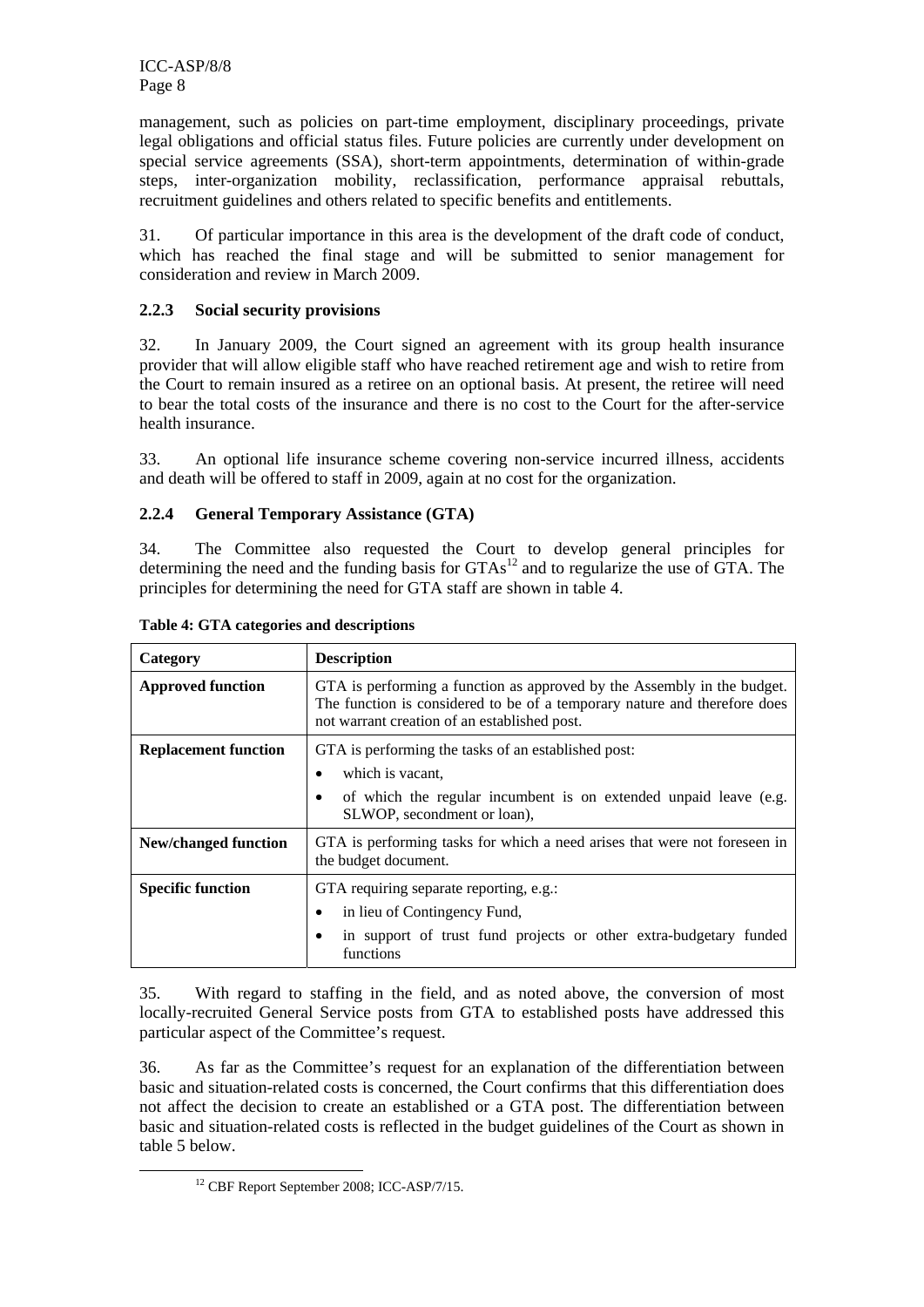management, such as policies on part-time employment, disciplinary proceedings, private legal obligations and official status files. Future policies are currently under development on special service agreements (SSA), short-term appointments, determination of within-grade steps, inter-organization mobility, reclassification, performance appraisal rebuttals, recruitment guidelines and others related to specific benefits and entitlements.

31. Of particular importance in this area is the development of the draft code of conduct, which has reached the final stage and will be submitted to senior management for consideration and review in March 2009.

# **2.2.3 Social security provisions**

32. In January 2009, the Court signed an agreement with its group health insurance provider that will allow eligible staff who have reached retirement age and wish to retire from the Court to remain insured as a retiree on an optional basis. At present, the retiree will need to bear the total costs of the insurance and there is no cost to the Court for the after-service health insurance.

33. An optional life insurance scheme covering non-service incurred illness, accidents and death will be offered to staff in 2009, again at no cost for the organization.

# **2.2.4 General Temporary Assistance (GTA)**

34. The Committee also requested the Court to develop general principles for determining the need and the funding basis for  $GTAs<sup>12</sup>$  and to regularize the use of GTA. The principles for determining the need for GTA staff are shown in table 4.

| Category                    | <b>Description</b>                                                                                                                                                                                   |  |  |  |
|-----------------------------|------------------------------------------------------------------------------------------------------------------------------------------------------------------------------------------------------|--|--|--|
| <b>Approved function</b>    | GTA is performing a function as approved by the Assembly in the budget.<br>The function is considered to be of a temporary nature and therefore does<br>not warrant creation of an established post. |  |  |  |
| <b>Replacement function</b> | GTA is performing the tasks of an established post:<br>which is vacant,<br>of which the regular incumbent is on extended unpaid leave (e.g.<br>SLWOP, secondment or loan),                           |  |  |  |
| <b>New/changed function</b> | GTA is performing tasks for which a need arises that were not foreseen in<br>the budget document.                                                                                                    |  |  |  |
| <b>Specific function</b>    | GTA requiring separate reporting, e.g.:<br>in lieu of Contingency Fund,<br>in support of trust fund projects or other extra-budgetary funded<br>functions                                            |  |  |  |

**Table 4: GTA categories and descriptions** 

35. With regard to staffing in the field, and as noted above, the conversion of most locally-recruited General Service posts from GTA to established posts have addressed this particular aspect of the Committee's request.

36. As far as the Committee's request for an explanation of the differentiation between basic and situation-related costs is concerned, the Court confirms that this differentiation does not affect the decision to create an established or a GTA post. The differentiation between basic and situation-related costs is reflected in the budget guidelines of the Court as shown in table 5 below.

<sup>&</sup>lt;sup>12</sup> CBF Report September 2008; ICC-ASP/7/15.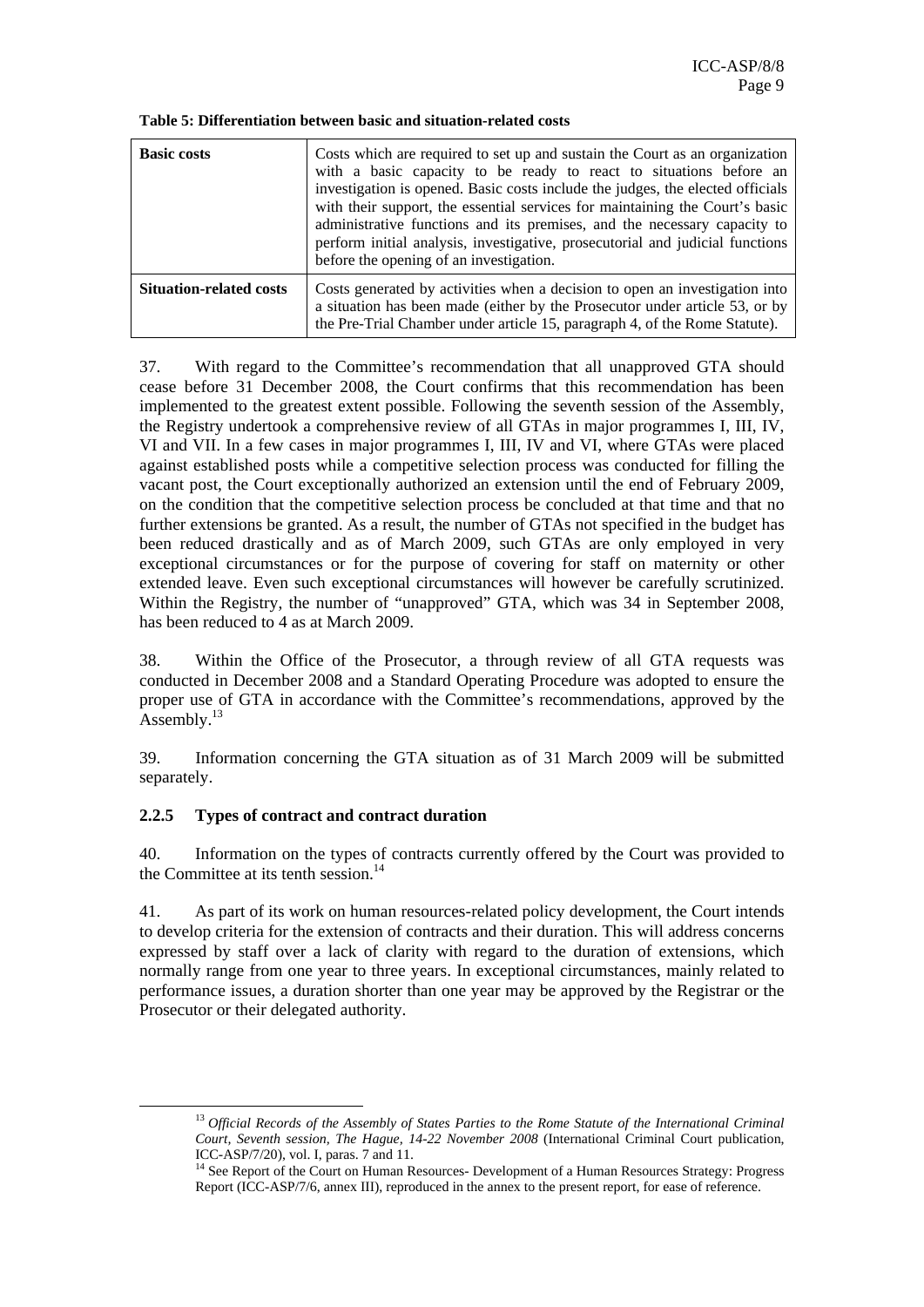**Table 5: Differentiation between basic and situation-related costs** 

| <b>Basic costs</b>             | Costs which are required to set up and sustain the Court as an organization<br>with a basic capacity to be ready to react to situations before an<br>investigation is opened. Basic costs include the judges, the elected officials<br>with their support, the essential services for maintaining the Court's basic<br>administrative functions and its premises, and the necessary capacity to<br>perform initial analysis, investigative, prosecutorial and judicial functions<br>before the opening of an investigation. |
|--------------------------------|-----------------------------------------------------------------------------------------------------------------------------------------------------------------------------------------------------------------------------------------------------------------------------------------------------------------------------------------------------------------------------------------------------------------------------------------------------------------------------------------------------------------------------|
| <b>Situation-related costs</b> | Costs generated by activities when a decision to open an investigation into<br>a situation has been made (either by the Prosecutor under article 53, or by<br>the Pre-Trial Chamber under article 15, paragraph 4, of the Rome Statute).                                                                                                                                                                                                                                                                                    |

37. With regard to the Committee's recommendation that all unapproved GTA should cease before 31 December 2008, the Court confirms that this recommendation has been implemented to the greatest extent possible. Following the seventh session of the Assembly, the Registry undertook a comprehensive review of all GTAs in major programmes I, III, IV, VI and VII. In a few cases in major programmes I, III, IV and VI, where GTAs were placed against established posts while a competitive selection process was conducted for filling the vacant post, the Court exceptionally authorized an extension until the end of February 2009, on the condition that the competitive selection process be concluded at that time and that no further extensions be granted. As a result, the number of GTAs not specified in the budget has been reduced drastically and as of March 2009, such GTAs are only employed in very exceptional circumstances or for the purpose of covering for staff on maternity or other extended leave. Even such exceptional circumstances will however be carefully scrutinized. Within the Registry, the number of "unapproved" GTA, which was 34 in September 2008, has been reduced to 4 as at March 2009.

38. Within the Office of the Prosecutor, a through review of all GTA requests was conducted in December 2008 and a Standard Operating Procedure was adopted to ensure the proper use of GTA in accordance with the Committee's recommendations, approved by the Assembly.<sup>13</sup>

39. Information concerning the GTA situation as of 31 March 2009 will be submitted separately.

#### **2.2.5 Types of contract and contract duration**

40. Information on the types of contracts currently offered by the Court was provided to the Committee at its tenth session.<sup>14</sup>

41. As part of its work on human resources-related policy development, the Court intends to develop criteria for the extension of contracts and their duration. This will address concerns expressed by staff over a lack of clarity with regard to the duration of extensions, which normally range from one year to three years. In exceptional circumstances, mainly related to performance issues, a duration shorter than one year may be approved by the Registrar or the Prosecutor or their delegated authority.

 <sup>13</sup> *Official Records of the Assembly of States Parties to the Rome Statute of the International Criminal Court, Seventh session, The Hague, 14-22 November 2008* (International Criminal Court publication, ICC-ASP/7/20), vol. I, paras. 7 and 11.

<sup>&</sup>lt;sup>14</sup> See Report of the Court on Human Resources- Development of a Human Resources Strategy: Progress Report (ICC-ASP/7/6, annex III), reproduced in the annex to the present report, for ease of reference.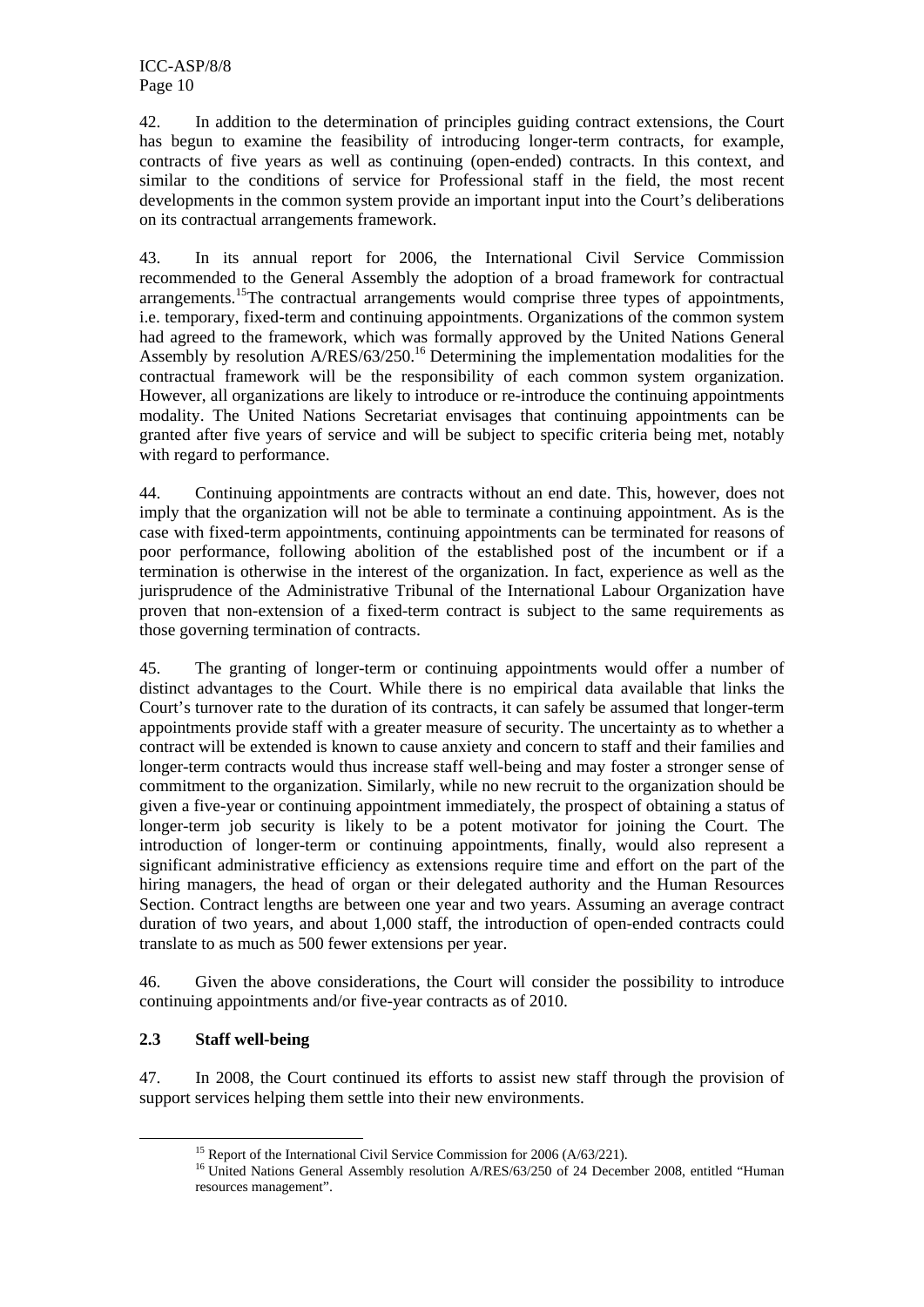42. In addition to the determination of principles guiding contract extensions, the Court has begun to examine the feasibility of introducing longer-term contracts, for example, contracts of five years as well as continuing (open-ended) contracts. In this context, and similar to the conditions of service for Professional staff in the field, the most recent developments in the common system provide an important input into the Court's deliberations on its contractual arrangements framework.

43. In its annual report for 2006, the International Civil Service Commission recommended to the General Assembly the adoption of a broad framework for contractual arrangements.<sup>15</sup>The contractual arrangements would comprise three types of appointments, i.e. temporary, fixed-term and continuing appointments. Organizations of the common system had agreed to the framework, which was formally approved by the United Nations General Assembly by resolution  $A/RES/63/250$ .<sup>16</sup> Determining the implementation modalities for the contractual framework will be the responsibility of each common system organization. However, all organizations are likely to introduce or re-introduce the continuing appointments modality. The United Nations Secretariat envisages that continuing appointments can be granted after five years of service and will be subject to specific criteria being met, notably with regard to performance.

44. Continuing appointments are contracts without an end date. This, however, does not imply that the organization will not be able to terminate a continuing appointment. As is the case with fixed-term appointments, continuing appointments can be terminated for reasons of poor performance, following abolition of the established post of the incumbent or if a termination is otherwise in the interest of the organization. In fact, experience as well as the jurisprudence of the Administrative Tribunal of the International Labour Organization have proven that non-extension of a fixed-term contract is subject to the same requirements as those governing termination of contracts.

45. The granting of longer-term or continuing appointments would offer a number of distinct advantages to the Court. While there is no empirical data available that links the Court's turnover rate to the duration of its contracts, it can safely be assumed that longer-term appointments provide staff with a greater measure of security. The uncertainty as to whether a contract will be extended is known to cause anxiety and concern to staff and their families and longer-term contracts would thus increase staff well-being and may foster a stronger sense of commitment to the organization. Similarly, while no new recruit to the organization should be given a five-year or continuing appointment immediately, the prospect of obtaining a status of longer-term job security is likely to be a potent motivator for joining the Court. The introduction of longer-term or continuing appointments, finally, would also represent a significant administrative efficiency as extensions require time and effort on the part of the hiring managers, the head of organ or their delegated authority and the Human Resources Section. Contract lengths are between one year and two years. Assuming an average contract duration of two years, and about 1,000 staff, the introduction of open-ended contracts could translate to as much as 500 fewer extensions per year.

46. Given the above considerations, the Court will consider the possibility to introduce continuing appointments and/or five-year contracts as of 2010.

# **2.3 Staff well-being**

47. In 2008, the Court continued its efforts to assist new staff through the provision of support services helping them settle into their new environments.

<sup>&</sup>lt;sup>15</sup> Report of the International Civil Service Commission for 2006 ( $A/63/221$ ).<br><sup>16</sup> United Nations General Assembly resolution  $A/RES/63/250$  of 24 December 2008, entitled "Human resources management".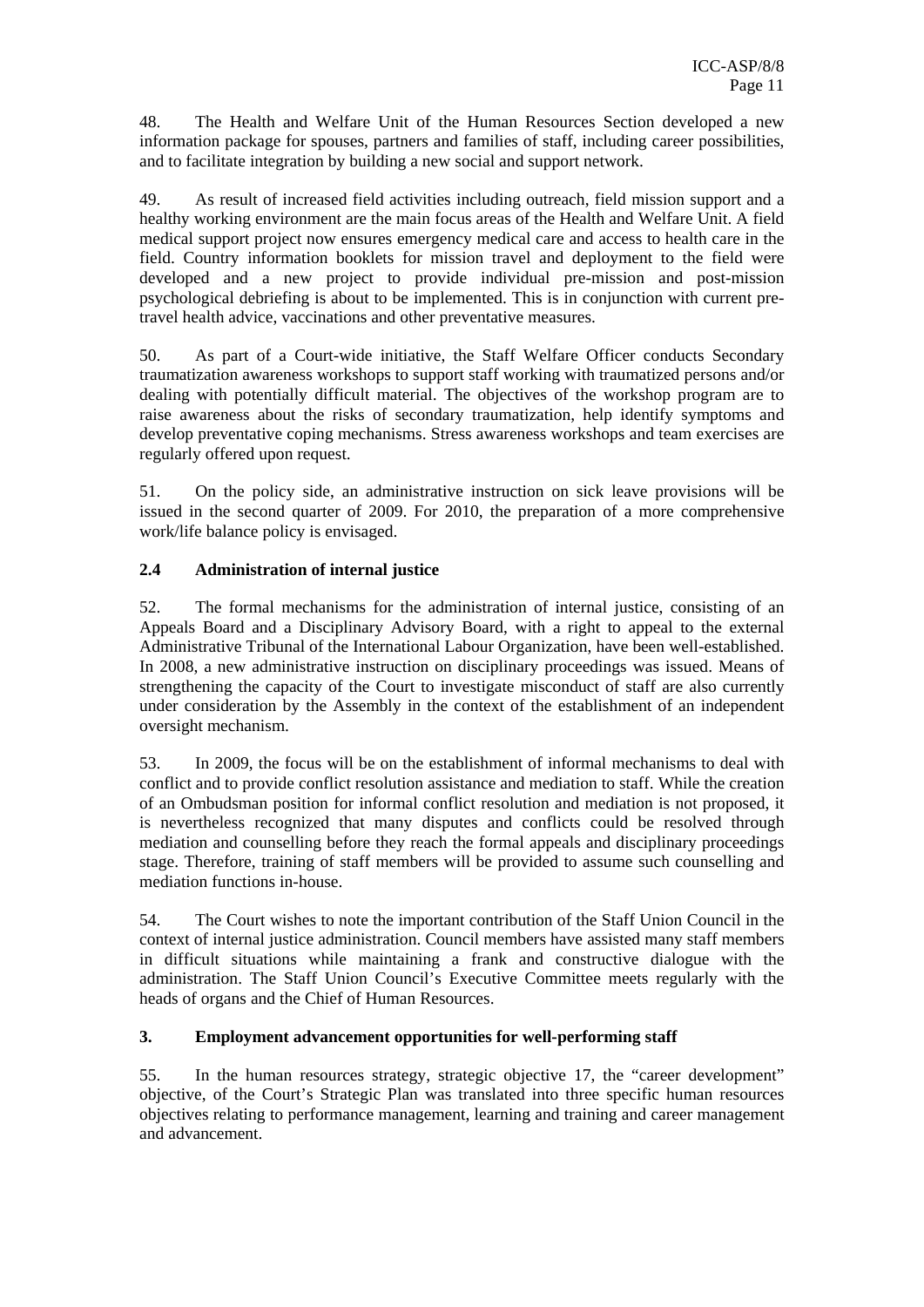48. The Health and Welfare Unit of the Human Resources Section developed a new information package for spouses, partners and families of staff, including career possibilities, and to facilitate integration by building a new social and support network.

49. As result of increased field activities including outreach, field mission support and a healthy working environment are the main focus areas of the Health and Welfare Unit. A field medical support project now ensures emergency medical care and access to health care in the field. Country information booklets for mission travel and deployment to the field were developed and a new project to provide individual pre-mission and post-mission psychological debriefing is about to be implemented. This is in conjunction with current pretravel health advice, vaccinations and other preventative measures.

50. As part of a Court-wide initiative, the Staff Welfare Officer conducts Secondary traumatization awareness workshops to support staff working with traumatized persons and/or dealing with potentially difficult material. The objectives of the workshop program are to raise awareness about the risks of secondary traumatization, help identify symptoms and develop preventative coping mechanisms. Stress awareness workshops and team exercises are regularly offered upon request.

51. On the policy side, an administrative instruction on sick leave provisions will be issued in the second quarter of 2009. For 2010, the preparation of a more comprehensive work/life balance policy is envisaged.

# **2.4 Administration of internal justice**

52. The formal mechanisms for the administration of internal justice, consisting of an Appeals Board and a Disciplinary Advisory Board, with a right to appeal to the external Administrative Tribunal of the International Labour Organization, have been well-established. In 2008, a new administrative instruction on disciplinary proceedings was issued. Means of strengthening the capacity of the Court to investigate misconduct of staff are also currently under consideration by the Assembly in the context of the establishment of an independent oversight mechanism.

53. In 2009, the focus will be on the establishment of informal mechanisms to deal with conflict and to provide conflict resolution assistance and mediation to staff. While the creation of an Ombudsman position for informal conflict resolution and mediation is not proposed, it is nevertheless recognized that many disputes and conflicts could be resolved through mediation and counselling before they reach the formal appeals and disciplinary proceedings stage. Therefore, training of staff members will be provided to assume such counselling and mediation functions in-house.

54. The Court wishes to note the important contribution of the Staff Union Council in the context of internal justice administration. Council members have assisted many staff members in difficult situations while maintaining a frank and constructive dialogue with the administration. The Staff Union Council's Executive Committee meets regularly with the heads of organs and the Chief of Human Resources.

# **3. Employment advancement opportunities for well-performing staff**

55. In the human resources strategy, strategic objective 17, the "career development" objective, of the Court's Strategic Plan was translated into three specific human resources objectives relating to performance management, learning and training and career management and advancement.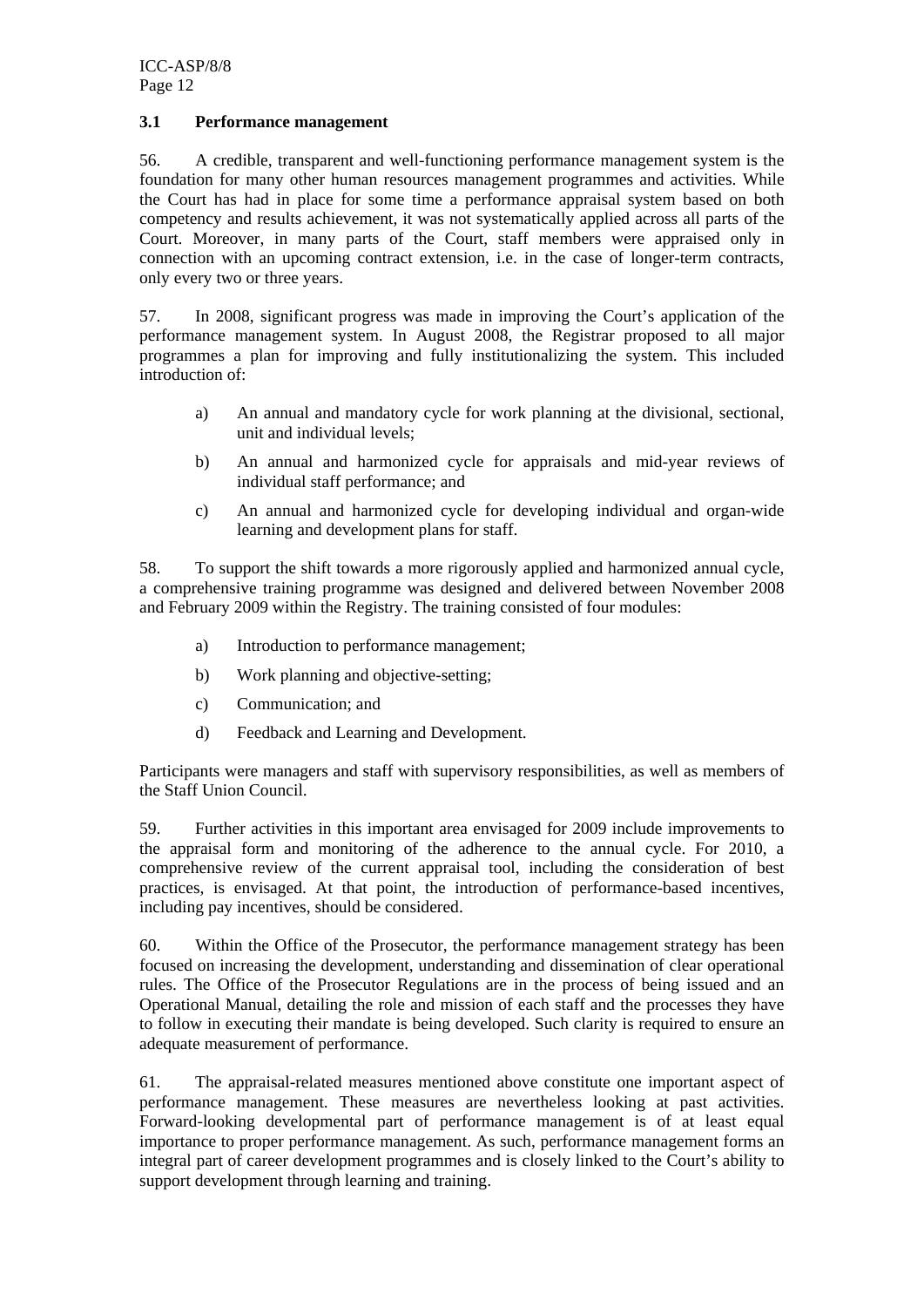#### **3.1 Performance management**

56. A credible, transparent and well-functioning performance management system is the foundation for many other human resources management programmes and activities. While the Court has had in place for some time a performance appraisal system based on both competency and results achievement, it was not systematically applied across all parts of the Court. Moreover, in many parts of the Court, staff members were appraised only in connection with an upcoming contract extension, i.e. in the case of longer-term contracts, only every two or three years.

57. In 2008, significant progress was made in improving the Court's application of the performance management system. In August 2008, the Registrar proposed to all major programmes a plan for improving and fully institutionalizing the system. This included introduction of:

- a) An annual and mandatory cycle for work planning at the divisional, sectional, unit and individual levels;
- b) An annual and harmonized cycle for appraisals and mid-year reviews of individual staff performance; and
- c) An annual and harmonized cycle for developing individual and organ-wide learning and development plans for staff.

58. To support the shift towards a more rigorously applied and harmonized annual cycle, a comprehensive training programme was designed and delivered between November 2008 and February 2009 within the Registry. The training consisted of four modules:

- a) Introduction to performance management;
- b) Work planning and objective-setting;
- c) Communication; and
- d) Feedback and Learning and Development.

Participants were managers and staff with supervisory responsibilities, as well as members of the Staff Union Council.

59. Further activities in this important area envisaged for 2009 include improvements to the appraisal form and monitoring of the adherence to the annual cycle. For 2010, a comprehensive review of the current appraisal tool, including the consideration of best practices, is envisaged. At that point, the introduction of performance-based incentives, including pay incentives, should be considered.

60. Within the Office of the Prosecutor, the performance management strategy has been focused on increasing the development, understanding and dissemination of clear operational rules. The Office of the Prosecutor Regulations are in the process of being issued and an Operational Manual, detailing the role and mission of each staff and the processes they have to follow in executing their mandate is being developed. Such clarity is required to ensure an adequate measurement of performance.

61. The appraisal-related measures mentioned above constitute one important aspect of performance management. These measures are nevertheless looking at past activities. Forward-looking developmental part of performance management is of at least equal importance to proper performance management. As such, performance management forms an integral part of career development programmes and is closely linked to the Court's ability to support development through learning and training.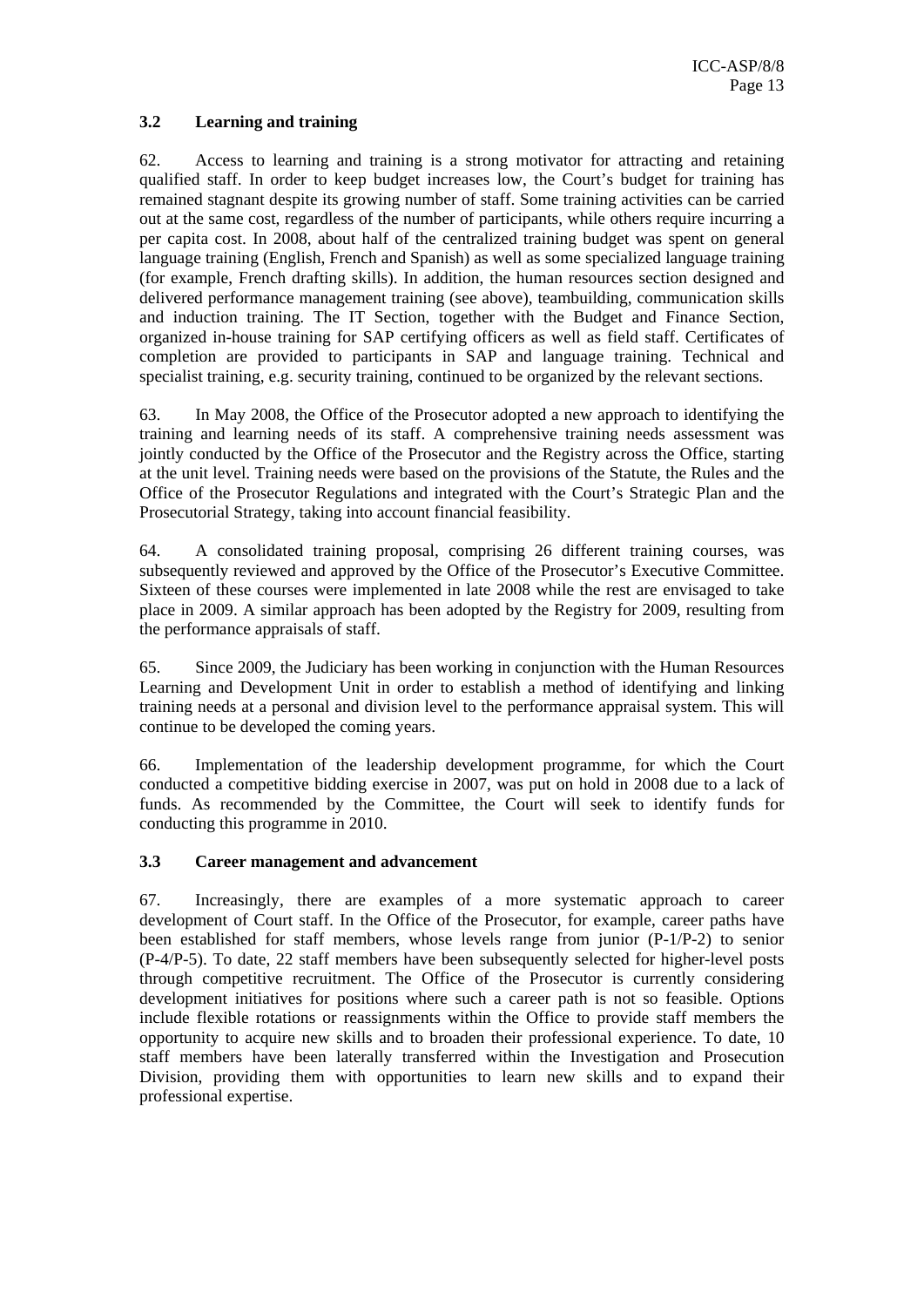# **3.2 Learning and training**

62. Access to learning and training is a strong motivator for attracting and retaining qualified staff. In order to keep budget increases low, the Court's budget for training has remained stagnant despite its growing number of staff. Some training activities can be carried out at the same cost, regardless of the number of participants, while others require incurring a per capita cost. In 2008, about half of the centralized training budget was spent on general language training (English, French and Spanish) as well as some specialized language training (for example, French drafting skills). In addition, the human resources section designed and delivered performance management training (see above), teambuilding, communication skills and induction training. The IT Section, together with the Budget and Finance Section, organized in-house training for SAP certifying officers as well as field staff. Certificates of completion are provided to participants in SAP and language training. Technical and specialist training, e.g. security training, continued to be organized by the relevant sections.

63. In May 2008, the Office of the Prosecutor adopted a new approach to identifying the training and learning needs of its staff. A comprehensive training needs assessment was jointly conducted by the Office of the Prosecutor and the Registry across the Office, starting at the unit level. Training needs were based on the provisions of the Statute, the Rules and the Office of the Prosecutor Regulations and integrated with the Court's Strategic Plan and the Prosecutorial Strategy, taking into account financial feasibility.

64. A consolidated training proposal, comprising 26 different training courses, was subsequently reviewed and approved by the Office of the Prosecutor's Executive Committee. Sixteen of these courses were implemented in late 2008 while the rest are envisaged to take place in 2009. A similar approach has been adopted by the Registry for 2009, resulting from the performance appraisals of staff.

65. Since 2009, the Judiciary has been working in conjunction with the Human Resources Learning and Development Unit in order to establish a method of identifying and linking training needs at a personal and division level to the performance appraisal system. This will continue to be developed the coming years.

66. Implementation of the leadership development programme, for which the Court conducted a competitive bidding exercise in 2007, was put on hold in 2008 due to a lack of funds. As recommended by the Committee, the Court will seek to identify funds for conducting this programme in 2010.

#### **3.3 Career management and advancement**

67. Increasingly, there are examples of a more systematic approach to career development of Court staff. In the Office of the Prosecutor, for example, career paths have been established for staff members, whose levels range from junior (P-1/P-2) to senior (P-4/P-5). To date, 22 staff members have been subsequently selected for higher-level posts through competitive recruitment. The Office of the Prosecutor is currently considering development initiatives for positions where such a career path is not so feasible. Options include flexible rotations or reassignments within the Office to provide staff members the opportunity to acquire new skills and to broaden their professional experience. To date, 10 staff members have been laterally transferred within the Investigation and Prosecution Division, providing them with opportunities to learn new skills and to expand their professional expertise.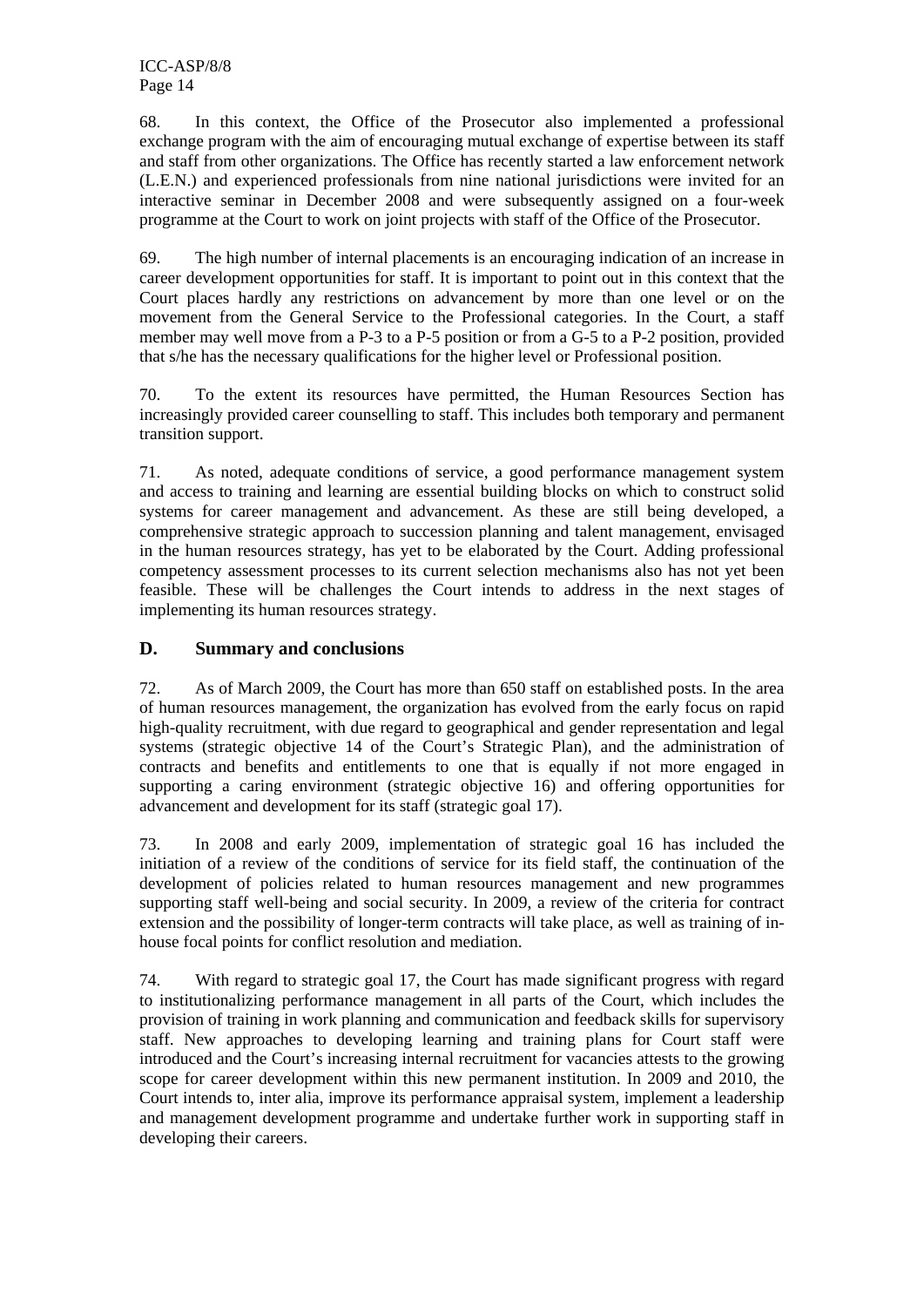68. In this context, the Office of the Prosecutor also implemented a professional exchange program with the aim of encouraging mutual exchange of expertise between its staff and staff from other organizations. The Office has recently started a law enforcement network (L.E.N.) and experienced professionals from nine national jurisdictions were invited for an interactive seminar in December 2008 and were subsequently assigned on a four-week programme at the Court to work on joint projects with staff of the Office of the Prosecutor.

69. The high number of internal placements is an encouraging indication of an increase in career development opportunities for staff. It is important to point out in this context that the Court places hardly any restrictions on advancement by more than one level or on the movement from the General Service to the Professional categories. In the Court, a staff member may well move from a P-3 to a P-5 position or from a G-5 to a P-2 position, provided that s/he has the necessary qualifications for the higher level or Professional position.

70. To the extent its resources have permitted, the Human Resources Section has increasingly provided career counselling to staff. This includes both temporary and permanent transition support.

71. As noted, adequate conditions of service, a good performance management system and access to training and learning are essential building blocks on which to construct solid systems for career management and advancement. As these are still being developed, a comprehensive strategic approach to succession planning and talent management, envisaged in the human resources strategy, has yet to be elaborated by the Court. Adding professional competency assessment processes to its current selection mechanisms also has not yet been feasible. These will be challenges the Court intends to address in the next stages of implementing its human resources strategy.

# **D. Summary and conclusions**

72. As of March 2009, the Court has more than 650 staff on established posts. In the area of human resources management, the organization has evolved from the early focus on rapid high-quality recruitment, with due regard to geographical and gender representation and legal systems (strategic objective 14 of the Court's Strategic Plan), and the administration of contracts and benefits and entitlements to one that is equally if not more engaged in supporting a caring environment (strategic objective 16) and offering opportunities for advancement and development for its staff (strategic goal 17).

73. In 2008 and early 2009, implementation of strategic goal 16 has included the initiation of a review of the conditions of service for its field staff, the continuation of the development of policies related to human resources management and new programmes supporting staff well-being and social security. In 2009, a review of the criteria for contract extension and the possibility of longer-term contracts will take place, as well as training of inhouse focal points for conflict resolution and mediation.

74. With regard to strategic goal 17, the Court has made significant progress with regard to institutionalizing performance management in all parts of the Court, which includes the provision of training in work planning and communication and feedback skills for supervisory staff. New approaches to developing learning and training plans for Court staff were introduced and the Court's increasing internal recruitment for vacancies attests to the growing scope for career development within this new permanent institution. In 2009 and 2010, the Court intends to, inter alia, improve its performance appraisal system, implement a leadership and management development programme and undertake further work in supporting staff in developing their careers.